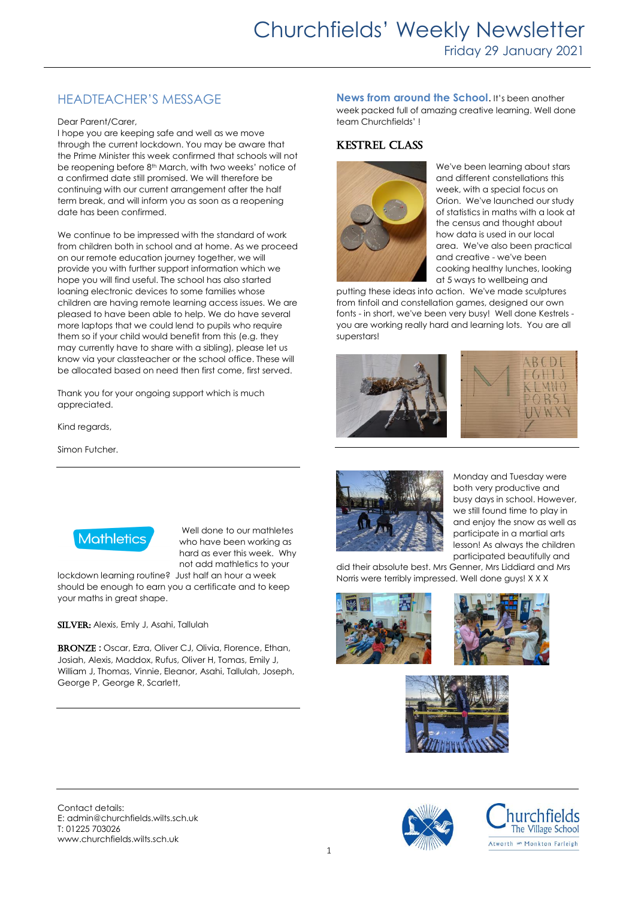# HEADTEACHER'S MESSAGE

#### Dear Parent/Carer,

I hope you are keeping safe and well as we move through the current lockdown. You may be aware that the Prime Minister this week confirmed that schools will not be reopening before 8<sup>th</sup> March, with two weeks' notice of a confirmed date still promised. We will therefore be continuing with our current arrangement after the half term break, and will inform you as soon as a reopening date has been confirmed.

We continue to be impressed with the standard of work from children both in school and at home. As we proceed on our remote education journey together, we will provide you with further support information which we hope you will find useful. The school has also started loaning electronic devices to some families whose children are having remote learning access issues. We are pleased to have been able to help. We do have several more laptops that we could lend to pupils who require them so if your child would benefit from this (e.g. they may currently have to share with a sibling), please let us know via your classteacher or the school office. These will be allocated based on need then first come, first served.

Thank you for your ongoing support which is much appreciated.

Kind regards,

Simon Futcher.



Well done to our mathletes who have been working as hard as ever this week. Why not add mathletics to your

lockdown learning routine? Just half an hour a week should be enough to earn you a certificate and to keep your maths in great shape.

SILVER: Alexis, Emly J, Asahi, Tallulah

BRONZE : Oscar, Ezra, Oliver CJ, Olivia, Florence, Ethan, Josiah, Alexis, Maddox, Rufus, Oliver H, Tomas, Emily J, William J, Thomas, Vinnie, Eleanor, Asahi, Tallulah, Joseph, George P, George R, Scarlett,

**News from around the School**. It's been another week packed full of amazing creative learning. Well done team Churchfields' !

# Kestrel Class



We've been learning about stars and different constellations this week, with a special focus on Orion. We've launched our study of statistics in maths with a look at the census and thought about how data is used in our local area. We've also been practical and creative - we've been cooking healthy lunches, looking at 5 ways to wellbeing and

putting these ideas into action. We've made sculptures from tinfoil and constellation games, designed our own fonts - in short, we've been very busy! Well done Kestrels you are working really hard and learning lots. You are all superstars!







Monday and Tuesday were both very productive and busy days in school. However, we still found time to play in and enjoy the snow as well as participate in a martial arts lesson! As always the children participated beautifully and

did their absolute best. Mrs Genner, Mrs Liddiard and Mrs Norris were terribly impressed. Well done guys! X X X





Contact details: E: admin@churchfields.wilts.sch.uk T: 01225 703026 www.churchfields.wilts.sch.uk



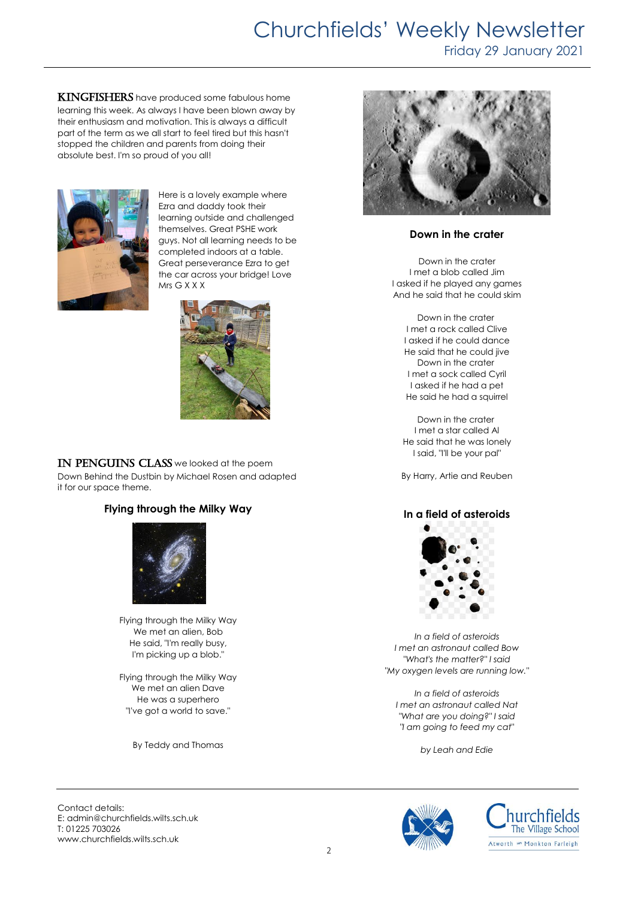# Churchfields' Weekly Newsletter

Friday 29 January 2021

**KINGFISHERS** have produced some fabulous home learning this week. As always I have been blown away by their enthusiasm and motivation. This is always a difficult part of the term as we all start to feel tired but this hasn't stopped the children and parents from doing their absolute best. I'm so proud of you all!



Here is a lovely example where Ezra and daddy took their learning outside and challenged themselves. Great PSHE work guys. Not all learning needs to be completed indoors at a table. Great perseverance Ezra to get the car across your bridge! Love Mrs G X X X



IN PENGUINS CLASS we looked at the poem Down Behind the Dustbin by Michael Rosen and adapted it for our space theme.

## **Flying through the Milky Way**



Flying through the Milky Way We met an alien, Bob He said, "I'm really busy, I'm picking up a blob."

Flying through the Milky Way We met an alien Dave He was a superhero "I've got a world to save."

By Teddy and Thomas



## **Down in the crater**

Down in the crater I met a blob called Jim I asked if he played any games And he said that he could skim

Down in the crater I met a rock called Clive I asked if he could dance He said that he could jive Down in the crater I met a sock called Cyril I asked if he had a pet He said he had a squirrel

Down in the crater I met a star called Al He said that he was lonely I said, "I'll be your pal"

By Harry, Artie and Reuben

## **In a field of asteroids**



*In a field of asteroids I met an astronaut called Bow "What's the matter?" I said "My oxygen levels are running low."*

*In a field of asteroids I met an astronaut called Nat "What are you doing?" I said "I am going to feed my cat"*

*by Leah and Edie*

Contact details: E: admin@churchfields.wilts.sch.uk T: 01225 703026 www.churchfields.wilts.sch.uk